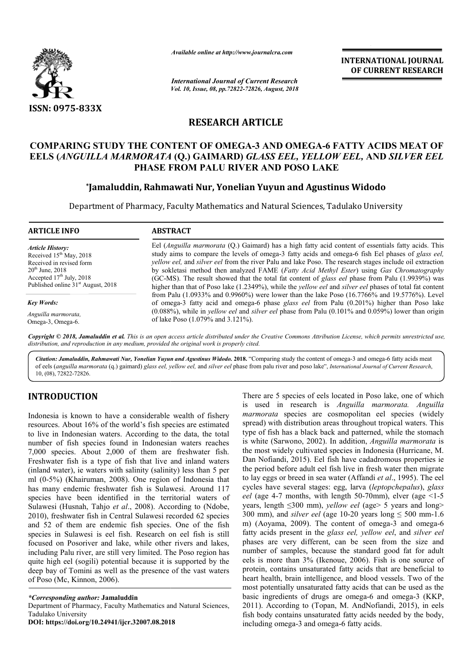

*Available online at http://www.journalcra.com*

*International Journal of Current Research Vol. 10, Issue, 08, pp.72822-72826, August, 2018* **INTERNATIONAL JOURNAL OF CURRENT RESEARCH**

# **RESEARCH ARTICLE**

## **COMPARING STUDY THE CONTENT OF OMEGA-3 AND OMEGA-6 FATTY ACIDS MEAT OF 6 EELS (***ANGUILLA MARMORATA* **(Q.) GAIMARD)** *GLASS EEL, YELLOW EEL, GLASS EEL,* **AND** *SILVER EEL*  **PHASE FROM PALU RIVER AND POSO LAKE**

# **\*Jamaluddin, Rahmawati Nur, Yonelian Yuyun and Agustinus Widodo Jamaluddin, Yuyun and**

Department of Pharmacy, Faculty Mathematics and Natural Sciences, Tadulako University

**ARTICLE INFO ABSTRACT**

*Article History:* Received 15<sup>th</sup> May, 2018 Received in revised form 20th June, 2018 Accepted  $17<sup>th</sup>$  July, 2018 Published online 31<sup>st</sup> August, 2018

*Key Words:*

*Anguilla marmorata,*  Omega-3, Omega-6.

Eel (*Anguilla marmorata* (Q.) Gaimard) has a high fatty acid content of essentials fatty acids. This Eel (*Anguilla marmorata* (Q.) Gaimard) has a high fatty acid content of essentials fatty acids. This study aims to compare the levels of omega-3 fatty acids and omega-6 fish Eel phases of *glass eel*, *yellow eel, and silver eel* from the river Palu and lake Poso. The research stages include oil extraction by sokletasi method then analyzed FAME (Fatty Acid Methyl Ester) using Gas Chromatography (GC-MS). The result showed that the total fat content of *glass eel* phase from Palu (1.9939%) was higher than that of Poso lake (1.2349%), while the *yellow eel* and *silver eel* phases of total fat content from Palu (1.0933% and 0.9960%) were lower than the lake Poso (16.7766% and 19.5776%). Level of omega-3 fatty acid and omega-6 phase *glass eel* from Palu (0.201%) higher than Poso lake  $(0.088%)$ , while in *yellow eel* and *silver eel* phase from Palu  $(0.101%$  and  $0.059%)$  lower than origin of lake Poso (1.079% and 3.121%).

Copyright © 2018, Jamaluddin et al. This is an open access article distributed under the Creative Commons Attribution License, which permits unrestricted use, *distribution, and reproduction in any medium, provided the original work is properly cited.*

Citation: Jamaluddin, Rahmawati Nur, Yonelian Yuyun and Agustinus Widodo. 2018. "Comparing study the content of omega-3 and omega-6 fatty acids meat of eels (anguilla marmorata (q.) gaimard) glass eel, yellow eel, and silver eel phase from palu river and poso lake", International Journal of Current Research, 10, (08), 72822-72826.

# **INTRODUCTION**

Indonesia is known to have a considerable wealth of fishery resources. About 16% of the world's fish species are estimated to live in Indonesian waters. According to the data, the total number of fish species found in Indonesian waters reaches 7,000 species. About 2,000 of them are freshwater fish. Freshwater fish is a type of fish that live and inland waters (inland water), ie waters with salinity (salinity) less than 5 per ml (0-5%) (Khairuman, 2008). One region of Indonesia that has many endemic freshwater fish is Sulawesi. Around 117 species have been identified in the territorial waters of Sulawesi (Husnah, Tahjo *et al*., 2008). According to (Ndobe, 2010), freshwater fish in Central Sulawesi recorded 62 species and 52 of them are endemic fish species. One of the fish species in Sulawesi is eel fish. Research on eel fish is still focused on Posoriver and lake, while other rivers and lakes, including Palu river, are still very limited. The Poso region has quite high eel (sogili) potential because it is supported by the deep bay of Tomini as well as the presence of the vast waters of Poso (Mc, Kinnon, 2006).

*\*Corresponding author:* **Jamaluddin** Department of Pharmacy, Faculty Mathematics and Natural Sciences, Tadulako University **DOI: https://doi.org/10.24941/ijcr.32007.08.2018**

**CDDUCTION**<br>
There are 5 species of eels located in Poso lake, one of which<br>
is used in research is Anguilla marmorata. Anguilla<br>
is used in research is Anguilla marmorata. Anguilla<br>
ces. About 16% of the world's fish spe is used in research is *Anguilla marmorata. Anguilla marmorata* species are cosmopolitan eel species (widely spread) with distribution areas throughout tropical waters. This type of fish has a black back and patterned, while the stomach is white (Sarwono, 2002). In addition, *Anguilla marmorata* is the most widely cultivated species in Indonesia (Hurricane, M. the most widely cultivated species in Indonesia (Hurricane, M. Dan Nofiandi, 2015). Eel fish have cadadromous properties ie the period before adult eel fish live in fresh water then migrate the period before adult eel fish live in fresh water then migrate to lay eggs or breed in sea water (Affandi *et al.*, 1995). The eel cycles have several stages: egg, larva (leptopchepalus), glass *eel* (age 4-7 months, with length 50-70mm), elver (age  $\leq$ 1-5 years, length ≤300 mm), *yellow eel* (age> 5 years and long> 300 mm), and *silver eel* (age 10-20 years long  $\leq$  500 mm-1.6 m) (Aoyama, 2009). The content of omega-3 and omega-6 fatty acids present in the *glass eel, yellow eel* , and *silver eel* phases are very different, can be seen from the size and number of samples, because the standard good fat for adult eels is more than 3% (Ikenoue, 2006). Fish is one source of protein, contains unsaturated fatty acids that are beneficial to heart health, brain intelligence, and blood vessels. Two of the most potentially unsaturated fatty acids that can be used as the basic ingredients of drugs are omega-6 and omega-3 (KKP, 2011). According to (Topan, M. AndNofiandi, 2015), in eels fish body contains unsaturated fatty acids needed by the body, including omega-3 and omega-6 fatty acids. 5 species of eels located in Poso lake, one of which<br>in research is *Anguilla marmorata. Anguilla*<br>a species are cosmopolitan eel species (widely<br>th distribution areas throughout tropical waters. This ases are very different, can be seen from the size and<br>mber of samples, because the standard good fat for adult<br>ls is more than 3% (Ikenoue, 2006). Fish is one source of is unsaturated fatty acids that are beneficial to<br>in intelligence, and blood vessels. Two of the<br>unsaturated fatty acids that can be used as the<br>s of drugs are omega-6 and omega-3 (KKP, 2011). According to (Topan, M. AndNofiandi, 2015), fish body contains unsaturated fatty acids needed by the including omega-3 and omega-6 fatty acids.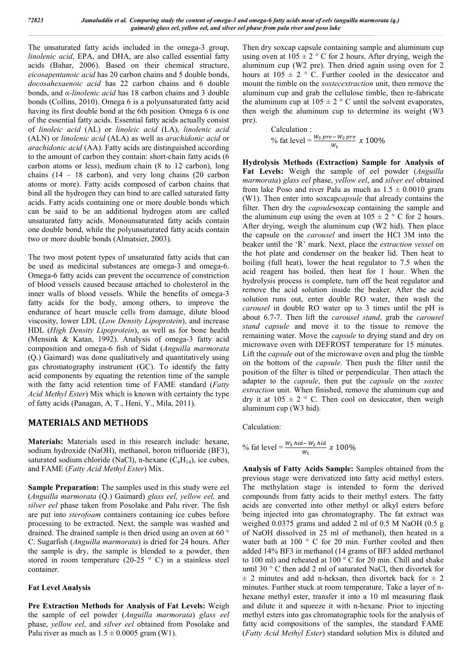The unsaturated fatty acids included in the omega-3 group, *linolenic acid*, EPA, and DHA, are also called essential fatty acids (Bahar, 2006). Based on their chemical structure, *eicosapentanoic acid* has 20 carbon chains and 5 double bonds, *docosahexaenoic acid* has 22 carbon chains and 6 double bonds, and *α-linolenic acid* has 18 carbon chains and 3 double bonds (Collins, 2010). Omega 6 is a polyunsaturated fatty acid having its first double bond at the 6th position. Omega 6 is one of the essential fatty acids. Essential fatty acids actually consist of *linoleic acid* (AL) or *linoleic acid* (LA), *linolenic acid* (ALN) or *linolenic acid* (ALA) as well as *arachidonic acid* or *arachidonic acid* (AA). Fatty acids are distinguished according to the amount of carbon they contain: short-chain fatty acids (6 carbon atoms or less), medium chain (8 to 12 carbon), long chains (14 – 18 carbon), and very long chains (20 carbon atoms or more). Fatty acids composed of carbon chains that bind all the hydrogen they can bind to are called saturated fatty acids. Fatty acids containing one or more double bonds which can be said to be an additional hydrogen atom are called unsaturated fatty acids. Monounsaturated fatty acids contain one double bond, while the polyunsaturated fatty acids contain two or more double bonds (Almatsier, 2003).

The two most potent types of unsaturated fatty acids that can be used as medicinal substances are omega-3 and omega-6. Omega-6 fatty acids can prevent the occurrence of constriction of blood vessels caused because attached to cholesterol in the inner walls of blood vessels. While the benefits of omega-3 fatty acids for the body, among others, to improve the endurance of heart muscle cells from damage, dilute blood viscosity, lower LDL (*Low Density Lipoprotein*), and increase HDL (*High Density Lipoprotein*), as well as for bone health (Mensink & Katan, 1992). Analysis of omega-3 fatty acid composition and omega-6 fish of Sidat (*Anguilla marmorata* (Q.) Gaimard) was done qualitatively and quantitatively using gas chromatography instrument (GC). To identify the fatty acid components by equating the retention time of the sample with the fatty acid retention time of FAME standard (*Fatty Acid Methyl Ester*) Mix which is known with certainty the type of fatty acids (Panagan, A, T., Heni, Y., Mila, 2011).

## **MATERIALS AND METHODS**

**Materials:** Materials used in this research include: hexane, sodium hydroxide (NaOH), methanol, boron trifluoride (BF3), saturated sodium chloride (NaCl), n-hexane  $(C_6H_{14})$ , ice cubes, and FAME (*Fatty Acid Methyl Ester*) Mix.

**Sample Preparation:** The samples used in this study were eel (*Anguilla marmorata* (Q.) Gaimard) *glass eel, yellow eel,* and *silver eel* phase taken from Posolake and Palu river. The fish are put into *sterofoam* containers containing ice cubes before processing to be extracted. Next, the sample was washed and drained. The drained sample is then dried using an oven at 60 ° C. Sugarfish (*Anguilla marmorata*) is dried for 24 hours. After the sample is dry, the sample is blended to a powder, then stored in room temperature (20-25  $\degree$  C) in a stainless steel container.

## **Fat Level Analysis**

**Pre Extraction Methods for Analysis of Fat Levels:** Weigh the sample of eel powder (*Anguilla marmorata*) *glass eel* phase, *yellow eel*, and *silver eel* obtained from Posolake and Palu river as much as  $1.5 \pm 0.0005$  gram (W1).

Then dry soxcap capsule containing sample and aluminum cup using oven at  $105 \pm 2$  ° C for 2 hours. After drying, weigh the aluminum cup (W2 pre). Then dried again using oven for 2 hours at  $105 \pm 2$  ° C. Further cooled in the desiccator and mount the timble on the *soxtecextraction* unit, then remove the aluminum cup and grab the cellulose timble, then re-fabricate the aluminum cup at  $105 \pm 2$  ° C until the solvent evaporates, then weigh the aluminum cup to determine its weight (W3 pre).

> Calculation : % fat level =  $\frac{W_3 \, pre - W_2 \, pre}{W_1}$  x 100%

**Hydrolysis Methods (Extraction) Sample for Analysis of Fat Levels:** Weigh the sample of eel powder (*Anguilla marmorata*) *glass eel* phase, *yellow eel*, and *silver eel* obtained from lake Poso and river Palu as much as  $1.5 \pm 0.0010$  gram (W1). Then enter into soxcap*capsule* that already contains the filter. Then dry the *capsule*soxcap containing the sample and the aluminum cup using the oven at  $105 \pm 2$  ° C for 2 hours. After drying, weigh the aluminum cup (W2 hid). Then place the capsule on the *carousel* and insert the HCl 3M into the beaker until the 'R' mark. Next, place the *extraction vessel* on the hot plate and condenser on the beaker lid. Then heat to boiling (full heat), lower the heat regulator to 7.5 when the acid reagent has boiled, then heat for 1 hour. When the hydrolysis process is complete, turn off the heat regulator and remove the acid solution inside the beaker. After the acid solution runs out, enter double RO water, then wash the *carousel* in double RO water up to 3 times until the pH is about 6.7-7. Then lift the *carousel stand*, grab the *carousel stand capsule* and move it to the tissue to remove the remaining water. Move the *capsule* to drying stand and dry on microwave oven with DEFROST temperature for 15 minutes. Lift the *capsule* out of the microwave oven and plug the timble on the bottom of the *capsule*. Then push the filter until the position of the filter is tilted or perpendicular. Then attach the adapter to the *capsule*, then put the *capsule* on the *soxtec extraction* unit. When finished, remove the aluminum cup and dry it at  $105 \pm 2$  ° C. Then cool on desiccator, then weigh aluminum cup (W3 hid).

Calculation:

% fat level = 
$$
\frac{W_3 \text{ hid} - W_2 \text{ hid}}{W_1}
$$
 x 100%

**Analysis of Fatty Acids Sample:** Samples obtained from the previous stage were derivatized into fatty acid methyl esters. The methylation stage is intended to form the derived compounds from fatty acids to their methyl esters. The fatty acids are converted into other methyl or alkyl esters before being injected into gas chromatography. The fat extract was weighed 0.0375 grams and added 2 ml of 0.5 M NaOH (0.5 g of NaOH dissolved in 25 ml of methanol), then heated in a water bath at 100 ° C for 20 min. Further cooled and then added 14% BF3 in methanol (14 grams of BF3 added methanol to 100 ml) and reheated at 100 ° C for 20 min. Chill and shake until 30 ° C then add 2 ml of saturated NaCl, then divortek for  $\pm$  2 minutes and add n-heksan, then divortek back for  $\pm$  2 minutes. Further stuck at room temperature. Take a layer of nhexane methyl ester, transfer it into a 10 ml measuring flask and dilute it and squeeze it with n-hexane. Prior to injecting methyl esters into gas chromatographic tools for the analysis of fatty acid compositions of the samples, the standard FAME (*Fatty Acid Methyl Ester*) standard solution Mix is diluted and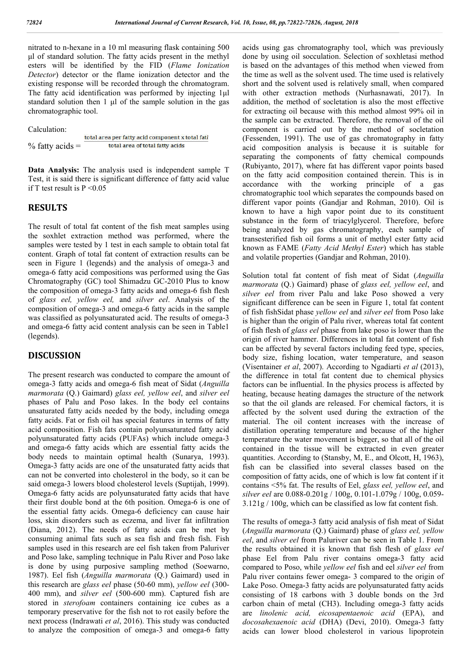nitrated to n-hexane in a 10 ml measuring flask containing 500 μl of standard solution. The fatty acids present in the methyl esters will be identified by the FID (*Flame Ionization Detector*) detector or the flame ionization detector and the existing response will be recorded through the chromatogram. The fatty acid identification was performed by injecting 1 $\mu$ l standard solution then 1 μl of the sample solution in the gas chromatographic tool.

Calculation:

total area per fatty acid component x total fatl total area of total fatty acids  $%$  fatty acids  $=$ 

**Data Analysis:** The analysis used is independent sample T Test, it is said there is significant difference of fatty acid value if T test result is  $P \le 0.05$ 

## **RESULTS**

The result of total fat content of the fish meat samples using the soxhlet extraction method was performed, where the samples were tested by 1 test in each sample to obtain total fat content. Graph of total fat content of extraction results can be seen in Figure 1 (legends) and the analysis of omega-3 and omega-6 fatty acid compositions was performed using the Gas Chromatography (GC) tool Shimadzu GC-2010 Plus to know the composition of omega-3 fatty acids and omega-6 fish flesh of *glass eel, yellow eel,* and *silver eel*. Analysis of the composition of omega-3 and omega-6 fatty acids in the sample was classified as polyunsaturated acid. The results of omega-3 and omega-6 fatty acid content analysis can be seen in Table1 (legends).

#### **DISCUSSION**

The present research was conducted to compare the amount of omega-3 fatty acids and omega-6 fish meat of Sidat (*Anguilla marmorata* (Q.) Gaimard) *glass eel, yellow eel*, and *silver eel* phases of Palu and Poso lakes. In the body eel contains unsaturated fatty acids needed by the body, including omega fatty acids. Fat or fish oil has special features in terms of fatty acid composition. Fish fats contain polyunsaturated fatty acid polyunsaturated fatty acids (PUFAs) which include omega-3 and omega-6 fatty acids which are essential fatty acids the body needs to maintain optimal health (Sunarya, 1993). Omega-3 fatty acids are one of the unsaturated fatty acids that can not be converted into cholesterol in the body, so it can be said omega-3 lowers blood cholesterol levels (Suptijah, 1999). Omega-6 fatty acids are polyunsaturated fatty acids that have their first double bond at the 6th position. Omega-6 is one of the essential fatty acids. Omega-6 deficiency can cause hair loss, skin disorders such as eczema, and liver fat infiltration (Diana, 2012). The needs of fatty acids can be met by consuming animal fats such as sea fish and fresh fish. Fish samples used in this research are eel fish taken from Paluriver and Poso lake, sampling technique in Palu River and Poso lake is done by using purposive sampling method (Soewarno, 1987). Eel fish (*Anguilla marmorata* (Q.) Gaimard) used in this research are *glass eel* phase (50-60 mm), *yellow eel* (300- 400 mm), and *silver eel* (500-600 mm). Captured fish are stored in *sterofoam* containers containing ice cubes as a temporary preservative for the fish not to rot easily before the next process (Indrawati *et al*, 2016). This study was conducted to analyze the composition of omega-3 and omega-6 fatty

acids using gas chromatography tool, which was previously done by using oil socculation. Selection of soxhletasi method is based on the advantages of this method when viewed from the time as well as the solvent used. The time used is relatively short and the solvent used is relatively small, when compared with other extraction methods (Nurhasnawati, 2017). In addition, the method of socletation is also the most effective for extracting oil because with this method almost 99% oil in the sample can be extracted. Therefore, the removal of the oil component is carried out by the method of socletation (Fessenden, 1991). The use of gas chromatography in fatty acid composition analysis is because it is suitable for separating the components of fatty chemical compounds (Rubiyanto, 2017), where fat has different vapor points based on the fatty acid composition contained therein. This is in accordance with the working principle of a gas chromatographic tool which separates the compounds based on different vapor points (Gandjar and Rohman, 2010). Oil is known to have a high vapor point due to its constituent substance in the form of triacylglycerol. Therefore, before being analyzed by gas chromatography, each sample of transesterified fish oil forms a unit of methyl ester fatty acid known as FAME (*Fatty Acid Methyl Ester*) which has stable and volatile properties (Gandjar and Rohman, 2010).

Solution total fat content of fish meat of Sidat (*Anguilla marmorata* (Q.) Gaimard) phase of *glass eel, yellow eel*, and *silver eel* from river Palu and lake Poso showed a very significant difference can be seen in Figure 1, total fat content of fish fishSidat phase *yellow eel* and *silver eel* from Poso lake is higher than the origin of Palu river, whereas total fat content of fish flesh of *glass eel* phase from lake poso is lower than the origin of river hammer. Differences in total fat content of fish can be affected by several factors including feed type, species, body size, fishing location, water temperature, and season (Visentainer *et al*, 2007). According to Ngadiarti *et al* (2013), the difference in total fat content due to chemical physics factors can be influential. In the physics process is affected by heating, because heating damages the structure of the network so that the oil glands are released. For chemical factors, it is affected by the solvent used during the extraction of the material. The oil content increases with the increase of distillation operating temperature and because of the higher temperature the water movement is bigger, so that all of the oil contained in the tissue will be extracted in even greater quantities. According to (Stansby, M, E., and Olcott, H, 1963), fish can be classified into several classes based on the composition of fatty acids, one of which is low fat content if it contains <5% fat. The results of Eel, *glass eel, yellow eel*, and *silver eel* are 0.088-0.201g / 100g, 0.101-1.079g / 100g, 0.059- 3.121g / 100g, which can be classified as low fat content fish.

The results of omega-3 fatty acid analysis of fish meat of Sidat (*Anguilla marmorata* (Q.) Gaimard) phase of *glass eel, yellow eel*, and *silver eel* from Paluriver can be seen in Table 1. From the results obtained it is known that fish flesh of *glass eel* phase Eel from Palu river contains omega-3 fatty acid compared to Poso, while *yellow eel* fish and eel *silver eel* from Palu river contains fewer omega- 3 compared to the origin of Lake Poso. Omega-3 fatty acids are polyunsaturated fatty acids consisting of 18 carbons with 3 double bonds on the 3rd carbon chain of metal (CH3). Including omega-3 fatty acids are *linolenic acid, eicosapentaenoic acid* (EPA), and *docosahexaenoic acid* (DHA) (Devi, 2010). Omega-3 fatty acids can lower blood cholesterol in various lipoprotein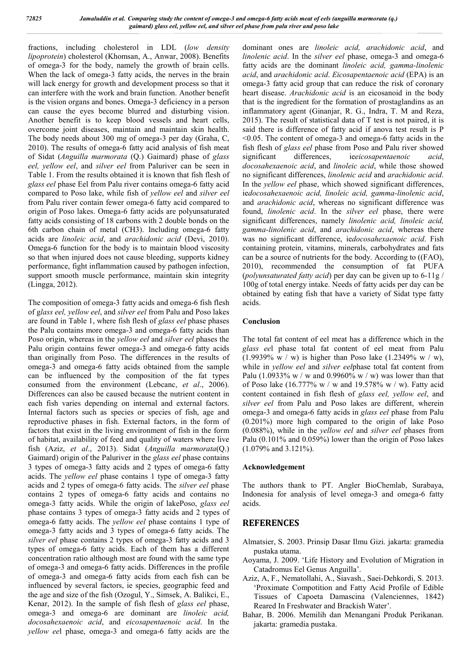fractions, including cholesterol in LDL (*low density lipoprotein*) cholesterol (Khomsan, A., Anwar, 2008). Benefits of omega-3 for the body, namely the growth of brain cells. When the lack of omega-3 fatty acids, the nerves in the brain will lack energy for growth and development process so that it can interfere with the work and brain function. Another benefit is the vision organs and bones. Omega-3 deficiency in a person can cause the eyes become blurred and disturbing vision. Another benefit is to keep blood vessels and heart cells, overcome joint diseases, maintain and maintain skin health. The body needs about 300 mg of omega-3 per day (Graha, C, 2010). The results of omega-6 fatty acid analysis of fish meat of Sidat (*Anguilla marmorata* (Q.) Gaimard) phase of *glass eel, yellow eel*, and *silver eel* from Paluriver can be seen in Table 1. From the results obtained it is known that fish flesh of *glass eel* phase Eel from Palu river contains omega-6 fatty acid compared to Poso lake, while fish of *yellow eel* and *silver eel* from Palu river contain fewer omega-6 fatty acid compared to origin of Poso lakes. Omega-6 fatty acids are polyunsaturated fatty acids consisting of 18 carbons with 2 double bonds on the 6th carbon chain of metal (CH3). Including omega-6 fatty acids are *linoleic acid*, and *arachidonic acid* (Devi, 2010). Omega-6 function for the body is to maintain blood viscosity so that when injured does not cause bleeding, supports kidney performance, fight inflammation caused by pathogen infection, support smooth muscle performance, maintain skin integrity (Lingga, 2012).

The composition of omega-3 fatty acids and omega-6 fish flesh of g*lass eel, yellow eel*, and *silver eel* from Palu and Poso lakes are found in Table 1, where fish flesh of *glass eel* phase phases the Palu contains more omega-3 and omega-6 fatty acids than Poso origin, whereas in the *yellow eel* and *silver eel* phases the Palu origin contains fewer omega-3 and omega-6 fatty acids than originally from Poso. The differences in the results of omega-3 and omega-6 fatty acids obtained from the sample can be influenced by the composition of the fat types consumed from the environment (Lebcanc, *et al*., 2006). Differences can also be caused because the nutrient content in each fish varies depending on internal and external factors. Internal factors such as species or species of fish, age and reproductive phases in fish. External factors, in the form of factors that exist in the living environment of fish in the form of habitat, availability of feed and quality of waters where live fish (Aziz, *et al*., 2013). Sidat (*Anguilla marmorata*(Q.) Gaimard) origin of the Paluriver in the *glass eel* phase contains 3 types of omega-3 fatty acids and 2 types of omega-6 fatty acids. The *yellow eel* phase contains 1 type of omega-3 fatty acids and 2 types of omega-6 fatty acids. The *silver eel* phase contains 2 types of omega-6 fatty acids and contains no omega-3 fatty acids. While the origin of lakePoso, *glass eel* phase contains 3 types of omega-3 fatty acids and 2 types of omega-6 fatty acids. The *yellow eel* phase contains 1 type of omega-3 fatty acids and 3 types of omega-6 fatty acids. The *silver eel* phase contains 2 types of omega-3 fatty acids and 3 types of omega-6 fatty acids. Each of them has a different concentration ratio although most are found with the same type of omega-3 and omega-6 fatty acids. Differences in the profile of omega-3 and omega-6 fatty acids from each fish can be influenced by several factors, ie species, geographic feed and the age and size of the fish (Ozogul, Y., Simsek, A. Balikci, E., Kenar, 2012). In the sample of fish flesh of *glass eel* phase, omega-3 and omega-6 are dominant are *linoleic acid, docosahexaenoic acid*, and *eicosapentaenoic acid*. In the *yellow ee*l phase, omega-3 and omega-6 fatty acids are the

dominant ones are *linoleic acid, arachidonic acid*, and *linolenic acid*. In the *silver eel* phase, omega-3 and omega-6 fatty acids are the dominant *linoleic acid, gamma-linolenic acid*, and *arachidonic acid*. *Eicosapentaenoic acid* (EPA) is an omega-3 fatty acid group that can reduce the risk of coronary heart disease. *Arachidonic acid* is an eicosanoid in the body that is the ingredient for the formation of prostaglandins as an inflammatory agent (Ginanjar, R. G., Indra, T. M and Reza, 2015). The result of statistical data of T test is not paired, it is said there is difference of fatty acid if anova test result is P <0.05. The content of omega-3 and omega-6 fatty acids in the fish flesh of *glass eel* phase from Poso and Palu river showed significant differences, ie*eicosapentaenoic acid*, *docosahexaenoic acid*, and *linoleic acid*, while those showed no significant differences, *linolenic acid* and *arachidonic acid*. In the *yellow eel* phase, which showed significant differences, ie*docosahexaenoic acid, linoleic acid, gamma-linolenic acid*, and *arachidonic acid*, whereas no significant difference was found, *linolenic acid*. In the *silver eel* phase, there were significant differences, namely *linolenic acid, linoleic acid, gamma-linolenic acid*, and *arachidonic acid*, whereas there was no significant difference, ie*docosahexaenoic acid*. Fish containing protein, vitamins, minerals, carbohydrates and fats can be a source of nutrients for the body. According to ((FAO), 2010), recommended the consumption of fat PUFA (*polyunsaturated fatty acid*) per day can be given up to 6-11g / 100g of total energy intake. Needs of fatty acids per day can be obtained by eating fish that have a variety of Sidat type fatty acids.

#### **Conclusion**

The total fat content of eel meat has a difference which in the *glass ee*l phase total fat content of eel meat from Palu (1.9939% w / w) is higher than Poso lake  $(1.2349\% \text{ w} / \text{ w})$ , while in *yellow eel* and *silver eel*phase total fat content from Palu (1.0933% w / w and 0.9960% w / w) was lower than that of Poso lake (16.777% w / w and 19.578% w / w). Fatty acid content contained in fish flesh of *glass eel, yellow eel*, and *silver eel* from Palu and Poso lakes are different, wherein omega-3 and omega-6 fatty acids in *glass eel* phase from Palu (0.201%) more high compared to the origin of lake Poso (0.088%), while in the *yellow eel* and *silver eel* phases from Palu (0.101% and 0.059%) lower than the origin of Poso lakes (1.079% and 3.121%).

#### **Acknowledgement**

The authors thank to PT. Angler BioChemlab, Surabaya, Indonesia for analysis of level omega-3 and omega-6 fatty acids.

## **REFERENCES**

- Almatsier, S. 2003. Prinsip Dasar Ilmu Gizi. jakarta: gramedia pustaka utama.
- Aoyama, J. 2009. 'Life History and Evolution of Migration in Catadromus Eel Genus Anguilla'.
- Aziz, A, F., Nematollahi, A., Siavash., Saei-Dehkordi, S. 2013. 'Proximate Compotition and Fatty Acid Profile of Edible Tissues of Capoeta Damascina (Valenciennes, 1842) Reared In Freshwater and Brackish Water'.
- Bahar, B. 2006. Memilih dan Menangani Produk Perikanan. jakarta: gramedia pustaka.